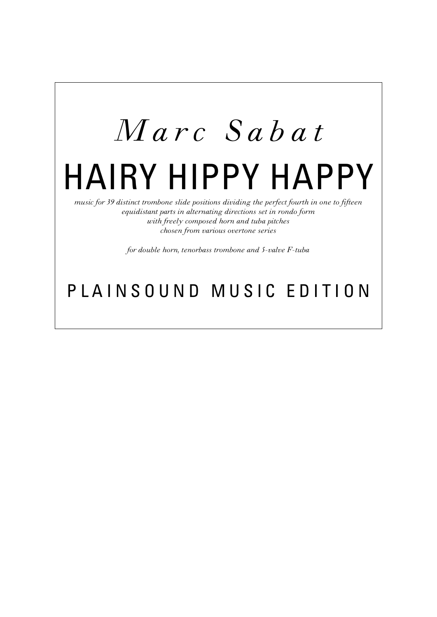# *M a r c S a b a t*  HAIRY HIPPY HAPPY

*music for 39 distinct trombone slide positions dividing the perfect fourth in one to fifteen equidistant parts in alternating directions set in rondo form with freely composed horn and tuba pitches chosen from various overtone series* 

*for double horn, tenorbass trombone and 5-valve F-tuba* 

# PLAINSOUND MUSIC EDITION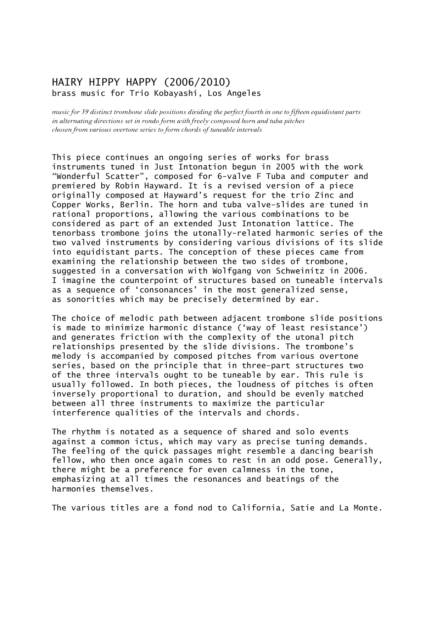#### HAIRY HIPPY HAPPY (2006/2010) brass music for Trio Kobayashi, Los Angeles

*music for 39 distinct trombone slide positions dividing the perfect fourth in one to fifteen equidistant parts in alternating directions set in rondo form with freely composed horn and tuba pitches chosen from various overtone series to form chords of tuneable intervals* 

This piece continues an ongoing series of works for brass instruments tuned in Just Intonation begun in 2005 with the work "Wonderful Scatter", composed for 6-valve F Tuba and computer and premiered by Robin Hayward. It is a revised version of a piece originally composed at Hayward's request for the trio Zinc and Copper Works, Berlin. The horn and tuba valve-slides are tuned in rational proportions, allowing the various combinations to be considered as part of an extended Just Intonation lattice. The tenorbass trombone joins the utonally-related harmonic series of the two valved instruments by considering various divisions of its slide into equidistant parts. The conception of these pieces came from examining the relationship between the two sides of trombone, suggested in a conversation with Wolfgang von Schweinitz in 2006. I imagine the counterpoint of structures based on tuneable intervals as a sequence of 'consonances' in the most generalized sense, as sonorities which may be precisely determined by ear.

The choice of melodic path between adjacent trombone slide positions is made to minimize harmonic distance ('way of least resistance') and generates friction with the complexity of the utonal pitch relationships presented by the slide divisions. The trombone's melody is accompanied by composed pitches from various overtone series, based on the principle that in three-part structures two of the three intervals ought to be tuneable by ear. This rule is usually followed. In both pieces, the loudness of pitches is often inversely proportional to duration, and should be evenly matched between all three instruments to maximize the particular interference qualities of the intervals and chords.

The rhythm is notated as a sequence of shared and solo events against a common ictus, which may vary as precise tuning demands. The feeling of the quick passages might resemble a dancing bearish fellow, who then once again comes to rest in an odd pose. Generally, there might be a preference for even calmness in the tone, emphasizing at all times the resonances and beatings of the harmonies themselves.

The various titles are a fond nod to California, Satie and La Monte.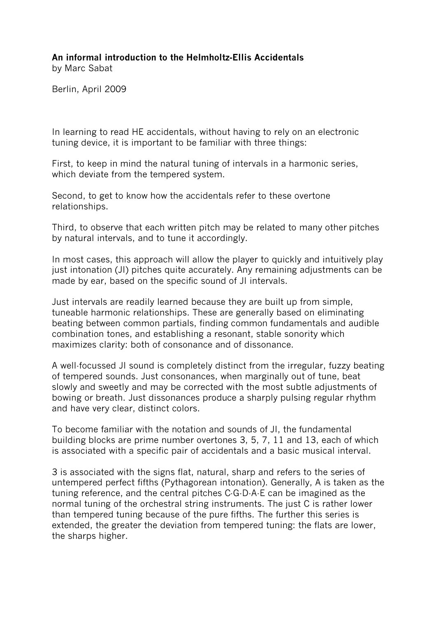### **An informal introduction to the Helmholtz-Ellis Accidentals**

by Marc Sabat

Berlin, April 2009

In learning to read HE accidentals, without having to rely on an electronic tuning device, it is important to be familiar with three things:

First, to keep in mind the natural tuning of intervals in a harmonic series, which deviate from the tempered system.

Second, to get to know how the accidentals refer to these overtone relationships.

Third, to observe that each written pitch may be related to many other pitches by natural intervals, and to tune it accordingly.

In most cases, this approach will allow the player to quickly and intuitively play just intonation (JI) pitches quite accurately. Any remaining adjustments can be made by ear, based on the specific sound of JI intervals.

Just intervals are readily learned because they are built up from simple, tuneable harmonic relationships. These are generally based on eliminating beating between common partials, finding common fundamentals and audible combination tones, and establishing a resonant, stable sonority which maximizes clarity: both of consonance and of dissonance.

A well-focussed JI sound is completely distinct from the irregular, fuzzy beating of tempered sounds. Just consonances, when marginally out of tune, beat slowly and sweetly and may be corrected with the most subtle adjustments of bowing or breath. Just dissonances produce a sharply pulsing regular rhythm and have very clear, distinct colors.

To become familiar with the notation and sounds of JI, the fundamental building blocks are prime number overtones 3, 5, 7, 11 and 13, each of which is associated with a specific pair of accidentals and a basic musical interval.

3 is associated with the signs flat, natural, sharp and refers to the series of untempered perfect fifths (Pythagorean intonation). Generally, A is taken as the tuning reference, and the central pitches C-G-D-A-E can be imagined as the normal tuning of the orchestral string instruments. The just C is rather lower than tempered tuning because of the pure fifths. The further this series is extended, the greater the deviation from tempered tuning: the flats are lower, the sharps higher.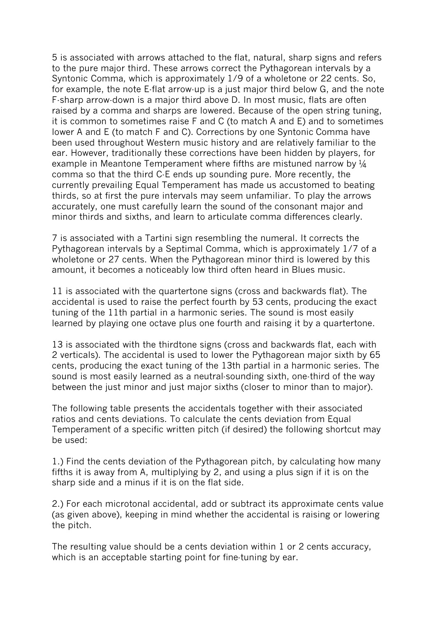5 is associated with arrows attached to the flat, natural, sharp signs and refers to the pure major third. These arrows correct the Pythagorean intervals by a Syntonic Comma, which is approximately 1/9 of a wholetone or 22 cents. So, for example, the note E-flat arrow-up is a just major third below G, and the note F-sharp arrow-down is a major third above D. In most music, flats are often raised by a comma and sharps are lowered. Because of the open string tuning, it is common to sometimes raise F and C (to match A and E) and to sometimes lower A and E (to match F and C). Corrections by one Syntonic Comma have been used throughout Western music history and are relatively familiar to the ear. However, traditionally these corrections have been hidden by players, for example in Meantone Temperament where fifths are mistuned narrow by  $\frac{1}{4}$ comma so that the third C-E ends up sounding pure. More recently, the currently prevailing Equal Temperament has made us accustomed to beating thirds, so at first the pure intervals may seem unfamiliar. To play the arrows accurately, one must carefully learn the sound of the consonant major and minor thirds and sixths, and learn to articulate comma differences clearly.

7 is associated with a Tartini sign resembling the numeral. It corrects the Pythagorean intervals by a Septimal Comma, which is approximately 1/7 of a wholetone or 27 cents. When the Pythagorean minor third is lowered by this amount, it becomes a noticeably low third often heard in Blues music.

11 is associated with the quartertone signs (cross and backwards flat). The accidental is used to raise the perfect fourth by 53 cents, producing the exact tuning of the 11th partial in a harmonic series. The sound is most easily learned by playing one octave plus one fourth and raising it by a quartertone.

13 is associated with the thirdtone signs (cross and backwards flat, each with 2 verticals). The accidental is used to lower the Pythagorean major sixth by 65 cents, producing the exact tuning of the 13th partial in a harmonic series. The sound is most easily learned as a neutral-sounding sixth, one-third of the way between the just minor and just major sixths (closer to minor than to major).

The following table presents the accidentals together with their associated ratios and cents deviations. To calculate the cents deviation from Equal Temperament of a specific written pitch (if desired) the following shortcut may be used:

1.) Find the cents deviation of the Pythagorean pitch, by calculating how many fifths it is away from A, multiplying by 2, and using a plus sign if it is on the sharp side and a minus if it is on the flat side.

2.) For each microtonal accidental, add or subtract its approximate cents value (as given above), keeping in mind whether the accidental is raising or lowering the pitch.

The resulting value should be a cents deviation within 1 or 2 cents accuracy, which is an acceptable starting point for fine-tuning by ear.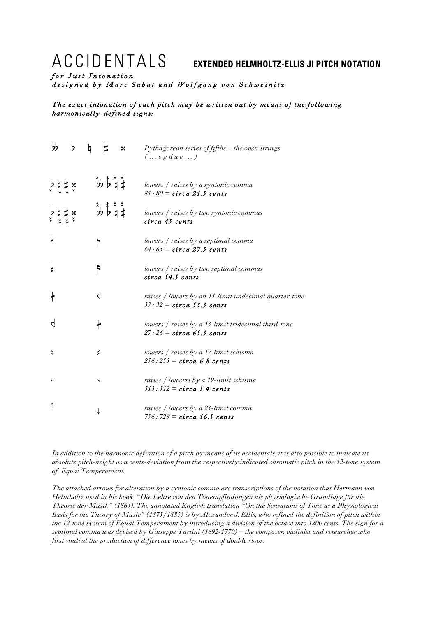## ACC IDENTALS **EXTENDED HELMHOLTZ-ELLIS JI PITCH NOTATION**

*f o r J u s t I n t o n a t i o n*  designed by Marc Sabat and Wolfgang von Schweinitz

#### *The exact intonation of each pitch may be written out by means of the following harmonically-defined signs:*

| $b\!b$                   | b | q | Ħ                       | × | Pythagorean series of fifths $-$ the open strings<br>( c g d a e )                                  |
|--------------------------|---|---|-------------------------|---|-----------------------------------------------------------------------------------------------------|
| ♪ h # *                  |   |   | $b\overline{b}$         |   | lowers / raises by a syntonic comma<br>$81:80 =$ circa 21.5 cents                                   |
| $\xi$ 5 $\xi$ $\xi$      |   |   | ፝฿฿๎๎๎๎๎฿๎              |   | lowers / raises by two syntonic commas<br>circa 43 cents                                            |
|                          |   |   | Ì                       |   | lowers $/$ raises by a septimal comma<br>$64:63 =$ circa 27.3 cents                                 |
| ⇂                        |   |   | ì                       |   | lowers $/$ raises by two septimal commas<br>circa 54.5 cents                                        |
| ╆                        |   |   | $\overline{\mathsf{d}}$ |   | raises / lowers by an 11-limit undecimal quarter-tone<br>$33:32 = \text{circa } 53.3 \text{ cents}$ |
| $\overline{\mathcal{A}}$ |   |   | ╫                       |   | lowers $/$ raises by a 13-limit tridecimal third-tone<br>$27:26 =$ circa 65.3 cents                 |
| >                        |   |   | ۶                       |   | lowers $/$ raises by a 17-limit schisma<br>$256:255 =$ circa 6.8 cents                              |
|                          |   |   |                         |   | raises / lowerss by a 19-limit schisma<br>$513:512 =$ circa 3.4 cents                               |
| ↑                        |   |   |                         |   | raises / lowers by a 23-limit comma<br>$736:729 = circa 16.5 cents$                                 |

In addition to the harmonic definition of a pitch by means of its accidentals, it is also possible to indicate its *absolute pitch-height as a cents-deviation from the respectively indicated chromatic pitch in the 12-tone system of Equal Temperament.*

The attached arrows for alteration by a syntonic comma are transcriptions of the notation that Hermann von *Helmholtz used in his book "Die Lehre von den Tonempfindungen als physiologische Grundlage für die Theorie der Musik" (1863). The annotated English translation "On the Sensations of Tone as a Physiological* Basis for the Theory of Music" (1875/1885) is by Alexander J. Ellis, who refined the definition of pitch within the 12-tone system of Equal Temperament by introducing a division of the octave into 1200 cents. The sign for a *septimal comma was devised by Giuseppe Tartini (1692-1770) – the composer, violinist and researcher who first studied the production of difference tones by means of double stops.*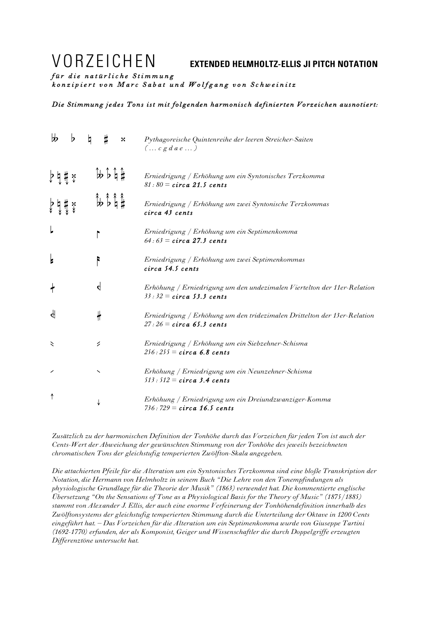# VOR Z E ICHEN **EXTENDED HELMHOLTZ-ELLIS JI PITCH NOTATION**

#### *f ü r d ie n a t ü r l i c h e S t i m m u n g*  konzipiert von Marc Sabat und Wolfgang von Schweinitz

#### *Die Stimmung jedes Tons ist mit folgenden harmonisch definierten Vo rzeichen ausnotiert:*

| bb                       | b                       | ♯                | × | Pythagoreische Quintenreihe der leeren Streicher-Saiten<br>( c g d a e )                                               |
|--------------------------|-------------------------|------------------|---|------------------------------------------------------------------------------------------------------------------------|
| $\sharp$                 | $\boldsymbol{\ddot{x}}$ | $b\overline{b}$  |   | Erniedrigung / Erhöhung um ein Syntonisches Terzkomma<br>$81:80 =$ circa 21.5 cents                                    |
| 史史英文                     |                         | <i>โง</i> ⊳ินิษิ |   | Erniedrigung / Erhöhung um zwei Syntonische Terzkommas<br>circa 43 cents                                               |
|                          |                         |                  |   | Erniedrigung / Erhöhung um ein Septimenkomma<br>$64:63 =$ circa 27.3 cents                                             |
| þ                        |                         | ì                |   | Erniedrigung / Erhöhung um zwei Septimenkommas<br>circa 54.5 cents                                                     |
|                          |                         | þ                |   | Erhöhung / Erniedrigung um den undezimalen Viertelton der 11er-Relation<br>$33:32 =$ circa 53.3 cents                  |
| $\overline{\mathcal{A}}$ |                         | ╫                |   | Erniedrigung / Erhöhung um den tridezimalen Drittelton der 13er-Relation<br>$27:26 = \text{circa } 65.3 \text{ cents}$ |
| >                        |                         | ۶                |   | Erniedrigung / Erhöhung um ein Siebzehner-Schisma<br>$256:255 =$ circa 6.8 cents                                       |
|                          |                         |                  |   | Erhöhung / Erniedrigung um ein Neunzehner-Schisma<br>$513:512 =$ circa 3.4 cents                                       |
| ↑                        |                         |                  |   | Erhöhung / Erniedrigung um ein Dreiundzwanziger-Komma<br>$736:729 =$ circa 16.5 cents                                  |

*Zusätzlich zu der harmonischen Definition der Tonhöhe durch das Vorzeichen für jeden Ton ist auch der Cents-Wert der Abweichung der gewünschten Stimmung von der Tonhöhe des jeweils bezeichneten chromatischen Tons der gleichstufig temperierten Zwölfton-Skala angegeben.*

*Die attachierten Pfeile für die Alteration um ein Syntonisches Terzkomma sind eine bloße Transkription der Notation, die Hermann von Helmholtz in seinem Buch "Die Lehre von den Tonempfindungen als physiologische Grundlage für die Theorie der Musik" (1863) verwendet hat. Die kommentierte englische Übersetzung "On the Sensations of Tone as a Physiological Basis for the Theory of Music" (1875/1885) stammt von Alexander J. Ellis, der auch eine enorme Verfeinerung der Tonhöhendefinition innerhalb des Zwölftonsystems der gleichstufig temperierten Stimmung durch die Unterteilung der Oktave in 1200 Cents eingeführt hat. – Das Vorzeichen für die Alteration um ein Septimenkomma wurde von Giuseppe Tartini (1692-1770) erfunden, der als Komponist, Geiger und Wissenschaftler die durch Doppelgriffe erzeugten Differenztöne untersucht hat.*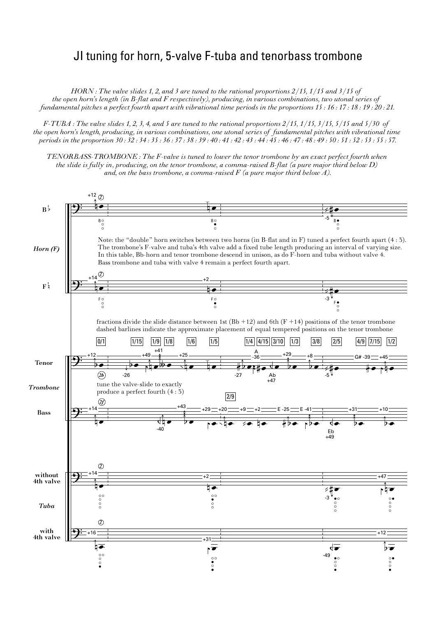### JI tuning for horn, 5-valve F-tuba and tenorbass trombone

*HORN : The valve slides 1, 2, and 3 are tuned to the rational proportions 2/15, 1/15 and 3/15 of the open horn's length (in B-flat and F respectively), producing, in various combinations, two utonal series of fundamental pitches a perfect fourth apart with vibrational time periods in the proportions 15 : 16 : 17 : 18 : 19 : 20 : 21.*

*F-TUBA : The valve slides 1, 2, 3, 4, and 5 are tuned to the rational proportions 2/15, 1/15, 3/15, 5/15 and 5/30 of the open horn's length, producing, in various combinations, one utonal series of fundamental pitches with vibrational time periods in the proportion 30 : 32 : 34 : 35 : 36 : 37 : 38 : 39 : 40 : 41 : 42 : 43 : 44 : 45 : 46 : 47 : 48 : 49 : 50 : 51 : 52 : 53 : 55 : 57.*

*TENORBASS-TROMBONE : The F-valve is tuned to lower the tenor trombone by an exact perfect fourth when the slide is fully in, producing, on the tenor trombone, a comma-raised B-flat (a pure major third below D) and, on the bass trombone, a comma-raised F (a pure major third below A).*

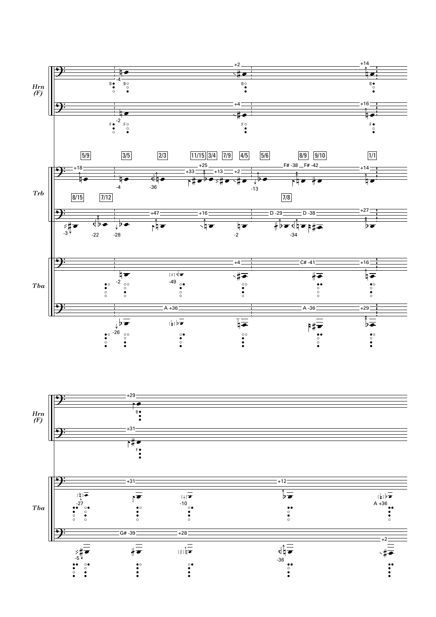

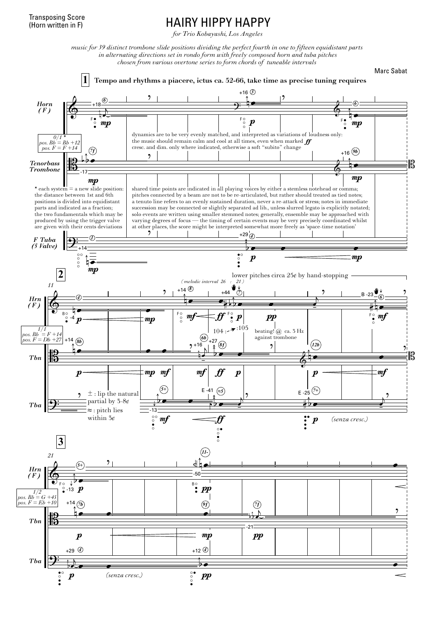#### Transposing Score (Horn written in F)

### HAIRY HIPPY HAPPY

*for Trio Kobayashi, Los Angeles*

*music for 39 distinct trombone slide positions dividing the perfect fourth in one to fifteen equidistant parts in alternating directions set in rondo form with freely composed horn and tuba pitches chosen from various overtone series to form chords of tuneable intervals* 

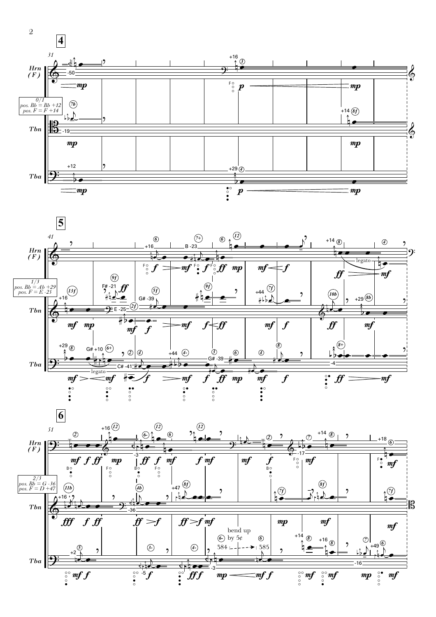



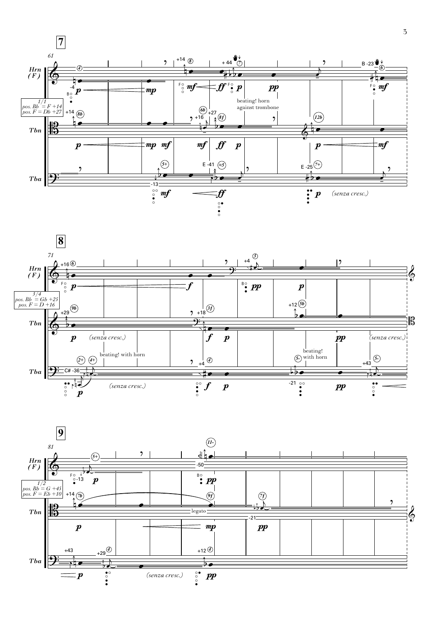



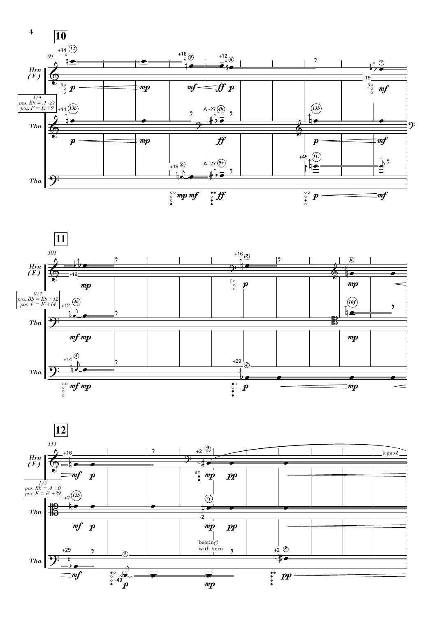



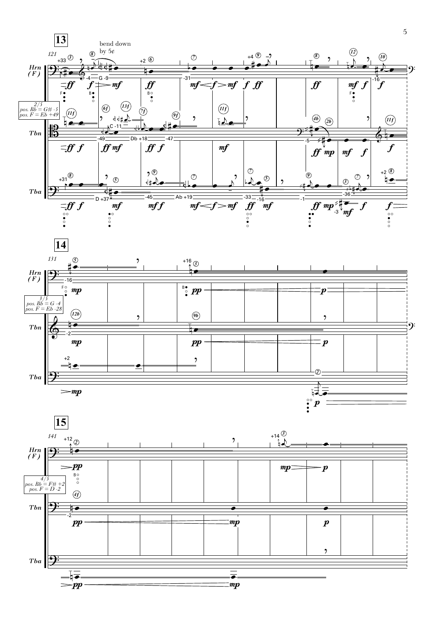



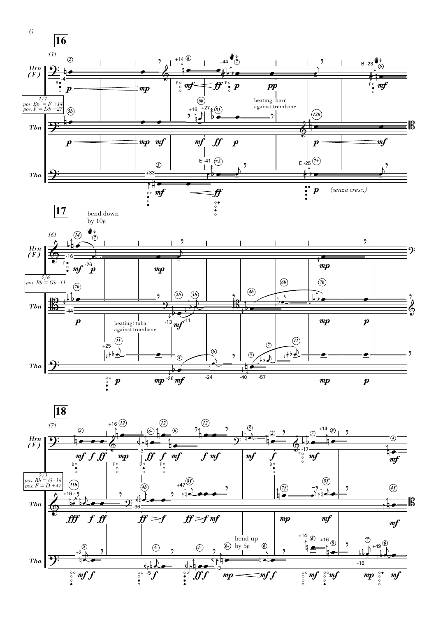

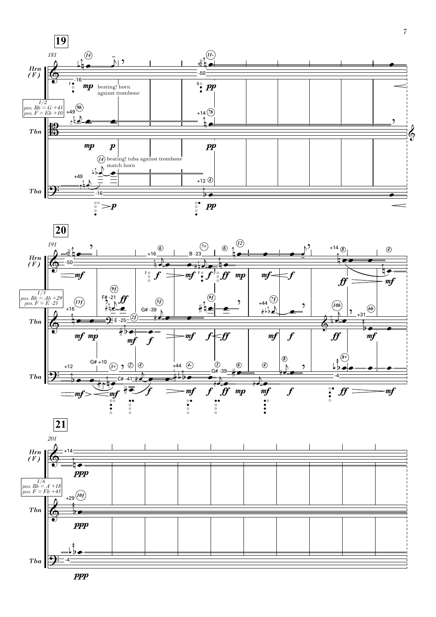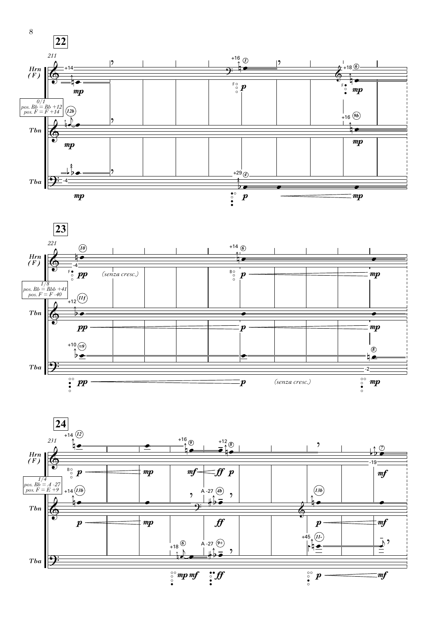



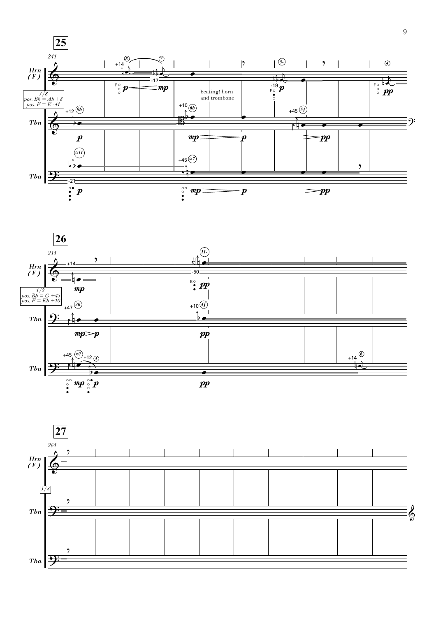



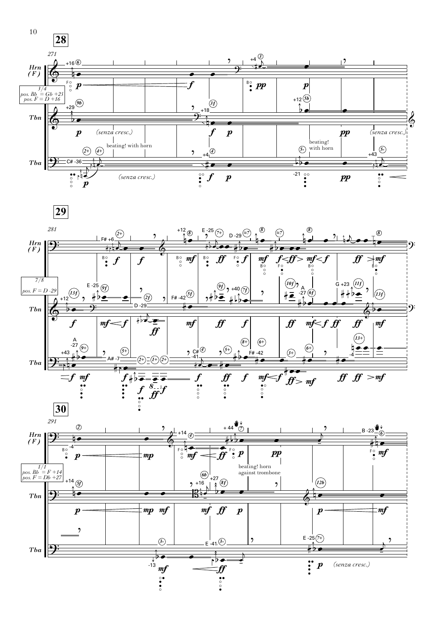





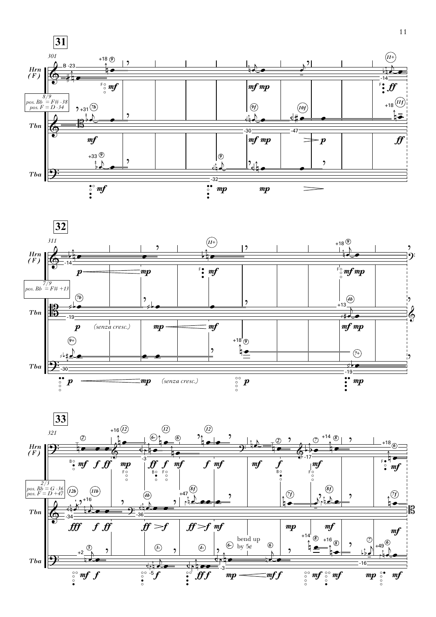![](_page_20_Figure_0.jpeg)

![](_page_20_Figure_1.jpeg)

![](_page_20_Figure_2.jpeg)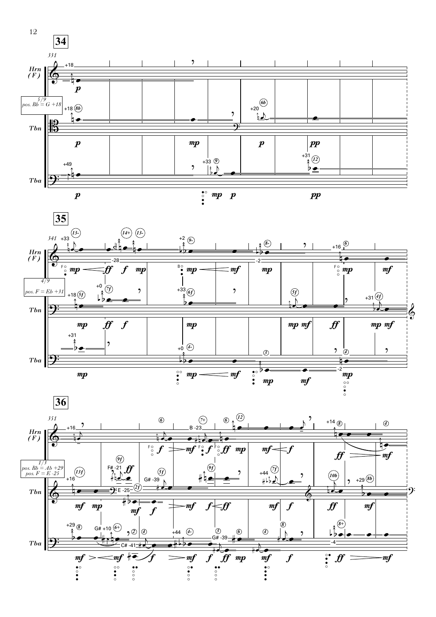![](_page_21_Figure_0.jpeg)

![](_page_21_Figure_1.jpeg)

![](_page_21_Figure_2.jpeg)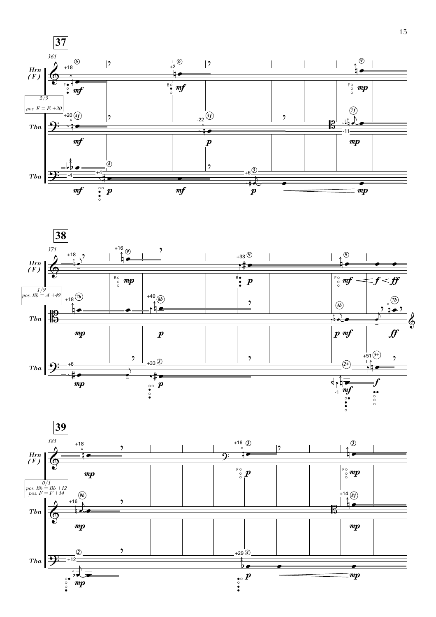![](_page_22_Figure_0.jpeg)

![](_page_22_Figure_1.jpeg)

![](_page_22_Figure_2.jpeg)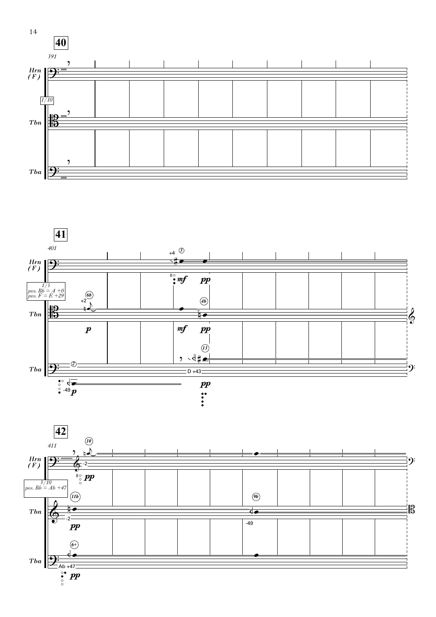![](_page_23_Figure_0.jpeg)

![](_page_23_Figure_1.jpeg)

![](_page_23_Figure_2.jpeg)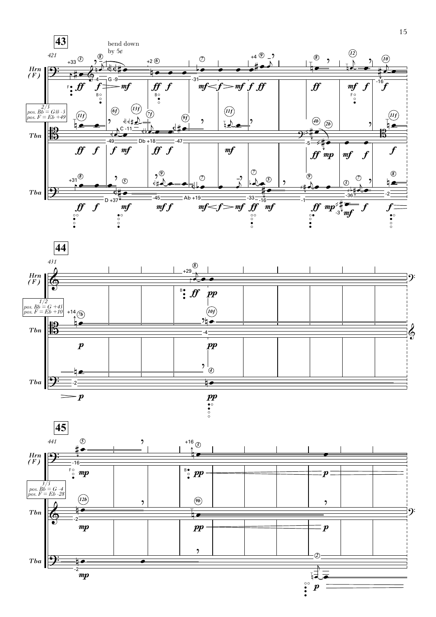![](_page_24_Figure_0.jpeg)

![](_page_24_Figure_1.jpeg)

![](_page_24_Figure_2.jpeg)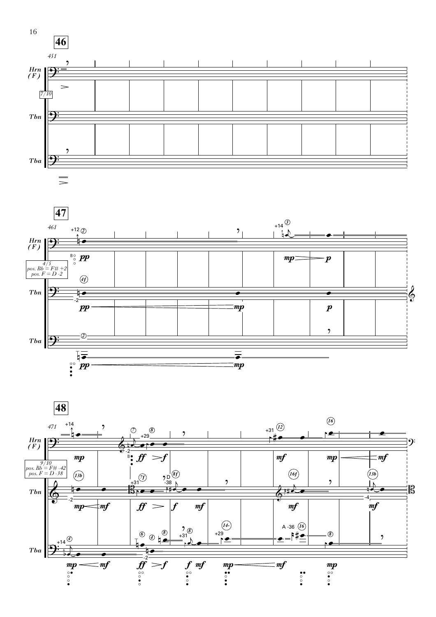![](_page_25_Figure_0.jpeg)

![](_page_25_Figure_1.jpeg)

![](_page_25_Figure_2.jpeg)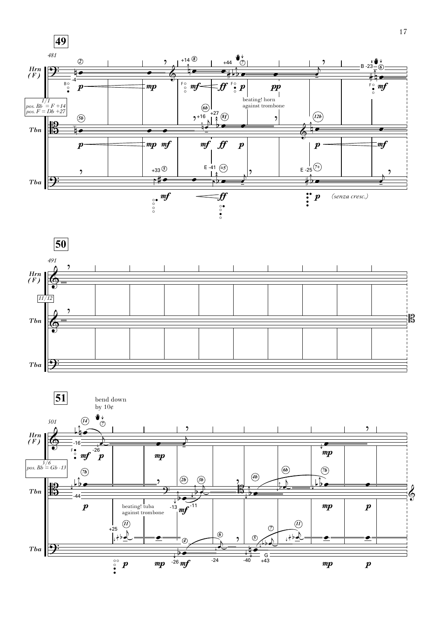![](_page_26_Figure_0.jpeg)

![](_page_26_Figure_1.jpeg)

![](_page_26_Figure_2.jpeg)

17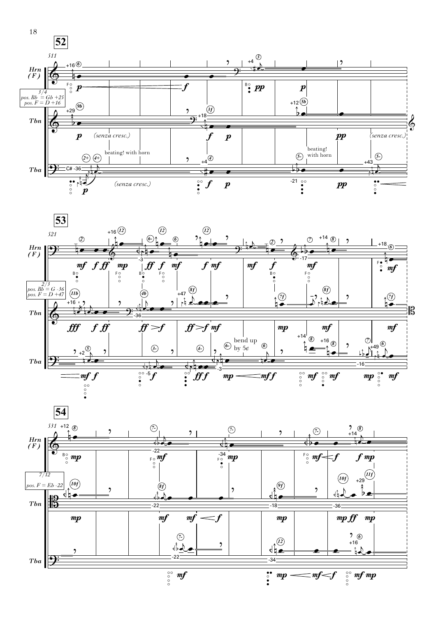![](_page_27_Figure_0.jpeg)

![](_page_27_Figure_1.jpeg)

![](_page_27_Figure_2.jpeg)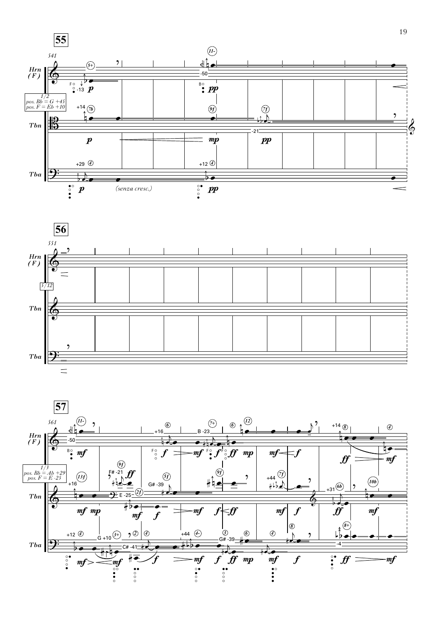![](_page_28_Figure_0.jpeg)

![](_page_28_Figure_1.jpeg)

![](_page_28_Figure_2.jpeg)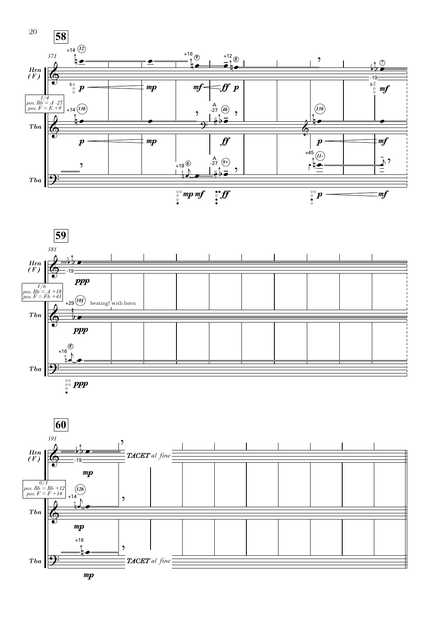![](_page_29_Figure_0.jpeg)

![](_page_29_Figure_1.jpeg)

![](_page_29_Figure_2.jpeg)

mp